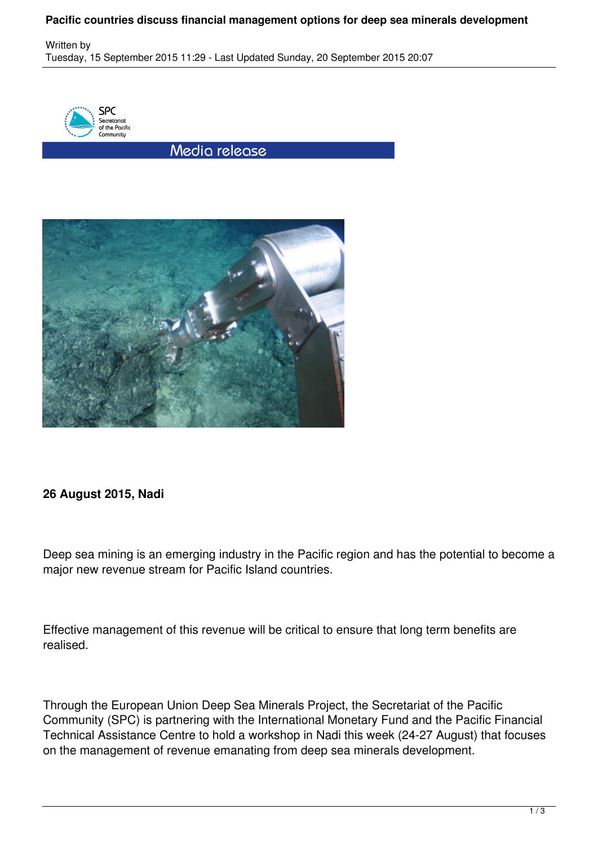## **Pacific countries discuss financial management options for deep sea minerals development**

Written by Tuesday, 15 September 2015 11:29 - Last Updated Sunday, 20 September 2015 20:07



Media release



## **26 August 2015, Nadi**

Deep sea mining is an emerging industry in the Pacific region and has the potential to become a major new revenue stream for Pacific Island countries.

Effective management of this revenue will be critical to ensure that long term benefits are realised.

Through the European Union Deep Sea Minerals Project, the Secretariat of the Pacific Community (SPC) is partnering with the International Monetary Fund and the Pacific Financial Technical Assistance Centre to hold a workshop in Nadi this week (24-27 August) that focuses on the management of revenue emanating from deep sea minerals development.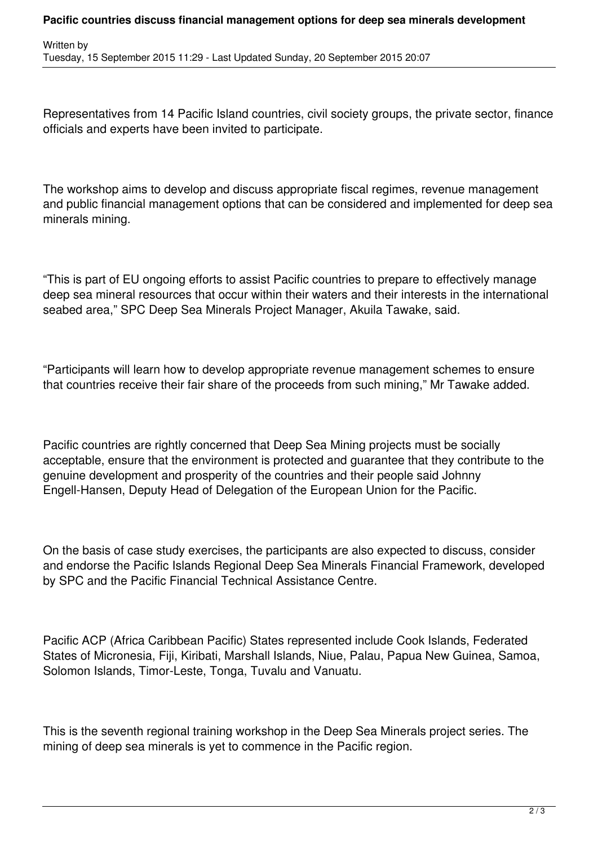## **Pacific countries discuss financial management options for deep sea minerals development**

Representatives from 14 Pacific Island countries, civil society groups, the private sector, finance officials and experts have been invited to participate.

The workshop aims to develop and discuss appropriate fiscal regimes, revenue management and public financial management options that can be considered and implemented for deep sea minerals mining.

"This is part of EU ongoing efforts to assist Pacific countries to prepare to effectively manage deep sea mineral resources that occur within their waters and their interests in the international seabed area," SPC Deep Sea Minerals Project Manager, Akuila Tawake, said.

"Participants will learn how to develop appropriate revenue management schemes to ensure that countries receive their fair share of the proceeds from such mining," Mr Tawake added.

Pacific countries are rightly concerned that Deep Sea Mining projects must be socially acceptable, ensure that the environment is protected and guarantee that they contribute to the genuine development and prosperity of the countries and their people said Johnny Engell-Hansen, Deputy Head of Delegation of the European Union for the Pacific.

On the basis of case study exercises, the participants are also expected to discuss, consider and endorse the Pacific Islands Regional Deep Sea Minerals Financial Framework, developed by SPC and the Pacific Financial Technical Assistance Centre.

Pacific ACP (Africa Caribbean Pacific) States represented include Cook Islands, Federated States of Micronesia, Fiji, Kiribati, Marshall Islands, Niue, Palau, Papua New Guinea, Samoa, Solomon Islands, Timor-Leste, Tonga, Tuvalu and Vanuatu.

This is the seventh regional training workshop in the Deep Sea Minerals project series. The mining of deep sea minerals is yet to commence in the Pacific region.